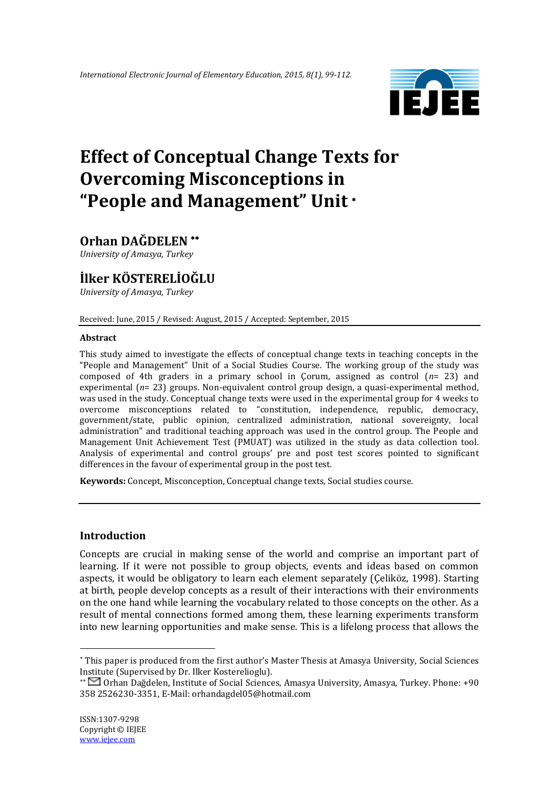

# **Effect of Conceptual Change Texts for Overcoming Misconceptions in "People and Management" Unit**

# **Orhan DAĞDELEN**

*University of Amasya, Turkey*

# **İlker KÖSTERELİOĞLU**

*University of Amasya, Turkey*

Received: June, 2015 / Revised: August, 2015 / Accepted: September, 2015

#### **Abstract**

This study aimed to investigate the effects of conceptual change texts in teaching concepts in the "People and Management" Unit of a Social Studies Course. The working group of the study was composed of 4th graders in a primary school in Çorum, assigned as control (*n*= 23) and experimental (*n*= 23) groups. Non-equivalent control group design, a quasi-experimental method, was used in the study. Conceptual change texts were used in the experimental group for 4 weeks to overcome misconceptions related to "constitution, independence, republic, democracy, government/state, public opinion, centralized administration, national sovereignty, local administration" and traditional teaching approach was used in the control group. The People and Management Unit Achievement Test (PMUAT) was utilized in the study as data collection tool. Analysis of experimental and control groups' pre and post test scores pointed to significant differences in the favour of experimental group in the post test.

**Keywords:** Concept, Misconception, Conceptual change texts, Social studies course.

# **Introduction**

Concepts are crucial in making sense of the world and comprise an important part of learning. If it were not possible to group objects, events and ideas based on common aspects, it would be obligatory to learn each element separately (Çeliköz, 1998). Starting at birth, people develop concepts as a result of their interactions with their environments on the one hand while learning the vocabulary related to those concepts on the other. As a result of mental connections formed among them, these learning experiments transform into new learning opportunities and make sense. This is a lifelong process that allows the

<u>.</u>

This paper is produced from the first author's Master Thesis at Amasya University, Social Sciences Institute (Supervised by Dr. Ilker Kosterelioglu).

Orhan Dağdelen, Institute of Social Sciences, Amasya University, Amasya, Turkey. Phone: +90 358 2526230-3351, E-Mail: orhandagdel05@hotmail.com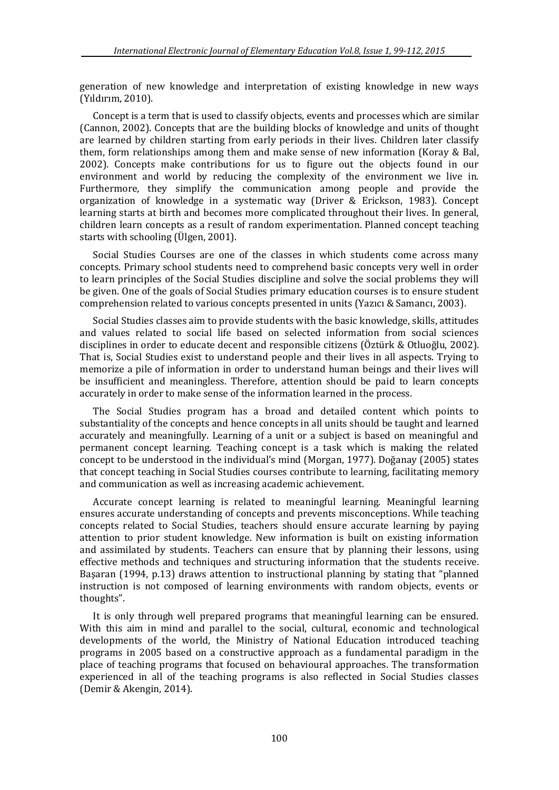generation of new knowledge and interpretation of existing knowledge in new ways (Yıldırım, 2010).

Concept is a term that is used to classify objects, events and processes which are similar (Cannon, 2002). Concepts that are the building blocks of knowledge and units of thought are learned by children starting from early periods in their lives. Children later classify them, form relationships among them and make sense of new information (Koray & Bal, 2002). Concepts make contributions for us to figure out the objects found in our environment and world by reducing the complexity of the environment we live in. Furthermore, they simplify the communication among people and provide the organization of knowledge in a systematic way (Driver & Erickson, 1983). Concept learning starts at birth and becomes more complicated throughout their lives. In general, children learn concepts as a result of random experimentation. Planned concept teaching starts with schooling (Ülgen, 2001).

Social Studies Courses are one of the classes in which students come across many concepts. Primary school students need to comprehend basic concepts very well in order to learn principles of the Social Studies discipline and solve the social problems they will be given. One of the goals of Social Studies primary education courses is to ensure student comprehension related to various concepts presented in units (Yazıcı & Samancı, 2003).

Social Studies classes aim to provide students with the basic knowledge, skills, attitudes and values related to social life based on selected information from social sciences disciplines in order to educate decent and responsible citizens (Öztürk & Otluoğlu, 2002). That is, Social Studies exist to understand people and their lives in all aspects. Trying to memorize a pile of information in order to understand human beings and their lives will be insufficient and meaningless. Therefore, attention should be paid to learn concepts accurately in order to make sense of the information learned in the process.

The Social Studies program has a broad and detailed content which points to substantiality of the concepts and hence concepts in all units should be taught and learned accurately and meaningfully. Learning of a unit or a subject is based on meaningful and permanent concept learning. Teaching concept is a task which is making the related concept to be understood in the individual's mind (Morgan, 1977). Doğanay (2005) states that concept teaching in Social Studies courses contribute to learning, facilitating memory and communication as well as increasing academic achievement.

Accurate concept learning is related to meaningful learning. Meaningful learning ensures accurate understanding of concepts and prevents misconceptions. While teaching concepts related to Social Studies, teachers should ensure accurate learning by paying attention to prior student knowledge. New information is built on existing information and assimilated by students. Teachers can ensure that by planning their lessons, using effective methods and techniques and structuring information that the students receive. Başaran (1994, p.13) draws attention to instructional planning by stating that "planned instruction is not composed of learning environments with random objects, events or thoughts".

It is only through well prepared programs that meaningful learning can be ensured. With this aim in mind and parallel to the social, cultural, economic and technological developments of the world, the Ministry of National Education introduced teaching programs in 2005 based on a constructive approach as a fundamental paradigm in the place of teaching programs that focused on behavioural approaches. The transformation experienced in all of the teaching programs is also reflected in Social Studies classes (Demir & Akengin, 2014).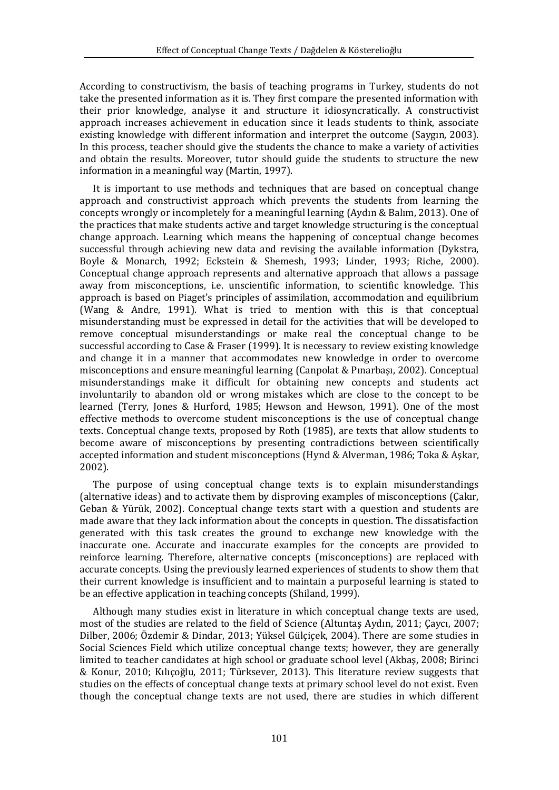According to constructivism, the basis of teaching programs in Turkey, students do not take the presented information as it is. They first compare the presented information with their prior knowledge, analyse it and structure it idiosyncratically. A constructivist approach increases achievement in education since it leads students to think, associate existing knowledge with different information and interpret the outcome (Saygın, 2003). In this process, teacher should give the students the chance to make a variety of activities and obtain the results. Moreover, tutor should guide the students to structure the new information in a meaningful way (Martin, 1997).

It is important to use methods and techniques that are based on conceptual change approach and constructivist approach which prevents the students from learning the concepts wrongly or incompletely for a meaningful learning (Aydın & Balım, 2013). One of the practices that make students active and target knowledge structuring is the conceptual change approach. Learning which means the happening of conceptual change becomes successful through achieving new data and revising the available information (Dykstra, Boyle & Monarch, 1992; Eckstein & Shemesh, 1993; Linder, 1993; Riche, 2000). Conceptual change approach represents and alternative approach that allows a passage away from misconceptions, i.e. unscientific information, to scientific knowledge. This approach is based on Piaget's principles of assimilation, accommodation and equilibrium (Wang & Andre, 1991). What is tried to mention with this is that conceptual misunderstanding must be expressed in detail for the activities that will be developed to remove conceptual misunderstandings or make real the conceptual change to be successful according to Case & Fraser (1999). It is necessary to review existing knowledge and change it in a manner that accommodates new knowledge in order to overcome misconceptions and ensure meaningful learning (Canpolat & Pınarbaşı, 2002). Conceptual misunderstandings make it difficult for obtaining new concepts and students act involuntarily to abandon old or wrong mistakes which are close to the concept to be learned (Terry, Jones & Hurford, 1985; Hewson and Hewson, 1991). One of the most effective methods to overcome student misconceptions is the use of conceptual change texts. Conceptual change texts, proposed by Roth (1985), are texts that allow students to become aware of misconceptions by presenting contradictions between scientifically accepted information and student misconceptions (Hynd & Alverman, 1986; Toka & Aşkar, 2002).

The purpose of using conceptual change texts is to explain misunderstandings (alternative ideas) and to activate them by disproving examples of misconceptions (Çakır, Geban & Yürük, 2002). Conceptual change texts start with a question and students are made aware that they lack information about the concepts in question. The dissatisfaction generated with this task creates the ground to exchange new knowledge with the inaccurate one. Accurate and inaccurate examples for the concepts are provided to reinforce learning. Therefore, alternative concepts (misconceptions) are replaced with accurate concepts. Using the previously learned experiences of students to show them that their current knowledge is insufficient and to maintain a purposeful learning is stated to be an effective application in teaching concepts (Shiland, 1999).

Although many studies exist in literature in which conceptual change texts are used, most of the studies are related to the field of Science (Altuntaş Aydın, 2011; Çaycı, 2007; Dilber, 2006; Özdemir & Dindar, 2013; Yüksel Gülçiçek, 2004). There are some studies in Social Sciences Field which utilize conceptual change texts; however, they are generally limited to teacher candidates at high school or graduate school level (Akbaş, 2008; Birinci & Konur, 2010; Kılıçoğlu, 2011; Türksever, 2013). This literature review suggests that studies on the effects of conceptual change texts at primary school level do not exist. Even though the conceptual change texts are not used, there are studies in which different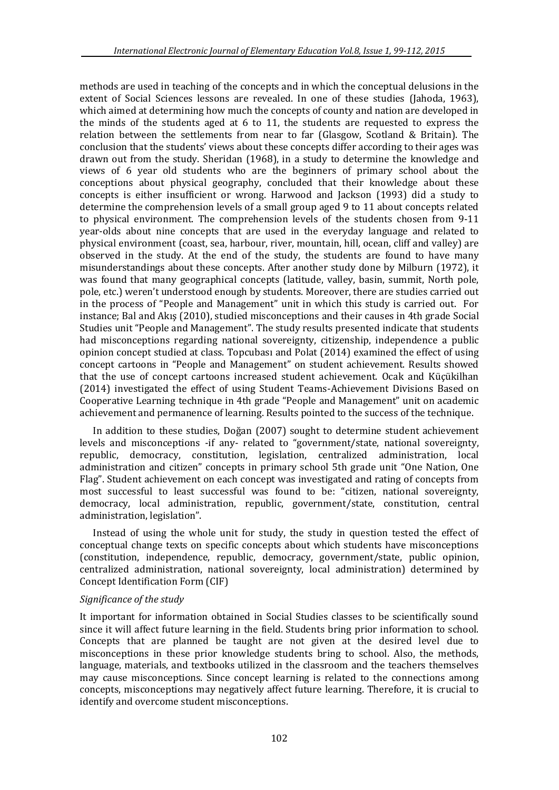methods are used in teaching of the concepts and in which the conceptual delusions in the extent of Social Sciences lessons are revealed. In one of these studies (Jahoda, 1963), which aimed at determining how much the concepts of county and nation are developed in the minds of the students aged at 6 to 11, the students are requested to express the relation between the settlements from near to far (Glasgow, Scotland & Britain). The conclusion that the students' views about these concepts differ according to their ages was drawn out from the study. Sheridan (1968), in a study to determine the knowledge and views of 6 year old students who are the beginners of primary school about the conceptions about physical geography, concluded that their knowledge about these concepts is either insufficient or wrong. Harwood and Jackson (1993) did a study to determine the comprehension levels of a small group aged 9 to 11 about concepts related to physical environment. The comprehension levels of the students chosen from 9-11 year-olds about nine concepts that are used in the everyday language and related to physical environment (coast, sea, harbour, river, mountain, hill, ocean, cliff and valley) are observed in the study. At the end of the study, the students are found to have many misunderstandings about these concepts. After another study done by Milburn (1972), it was found that many geographical concepts (latitude, valley, basin, summit, North pole, pole, etc.) weren't understood enough by students. Moreover, there are studies carried out in the process of "People and Management" unit in which this study is carried out. For instance; Bal and Akış (2010), studied misconceptions and their causes in 4th grade Social Studies unit "People and Management". The study results presented indicate that students had misconceptions regarding national sovereignty, citizenship, independence a public opinion concept studied at class. Topcubası and Polat (2014) examined the effect of using concept cartoons in "People and Management" on student achievement. Results showed that the use of concept cartoons increased student achievement. Ocak and Küçükilhan (2014) investigated the effect of using Student Teams-Achievement Divisions Based on Cooperative Learning technique in 4th grade "People and Management" unit on academic achievement and permanence of learning. Results pointed to the success of the technique.

In addition to these studies, Doğan (2007) sought to determine student achievement levels and misconceptions -if any- related to "government/state, national sovereignty, republic, democracy, constitution, legislation, centralized administration, local administration and citizen" concepts in primary school 5th grade unit "One Nation, One Flag". Student achievement on each concept was investigated and rating of concepts from most successful to least successful was found to be: "citizen, national sovereignty, democracy, local administration, republic, government/state, constitution, central administration, legislation".

Instead of using the whole unit for study, the study in question tested the effect of conceptual change texts on specific concepts about which students have misconceptions (constitution, independence, republic, democracy, government/state, public opinion, centralized administration, national sovereignty, local administration) determined by Concept Identification Form (CIF)

#### *Significance of the study*

It important for information obtained in Social Studies classes to be scientifically sound since it will affect future learning in the field. Students bring prior information to school. Concepts that are planned be taught are not given at the desired level due to misconceptions in these prior knowledge students bring to school. Also, the methods, language, materials, and textbooks utilized in the classroom and the teachers themselves may cause misconceptions. Since concept learning is related to the connections among concepts, misconceptions may negatively affect future learning. Therefore, it is crucial to identify and overcome student misconceptions.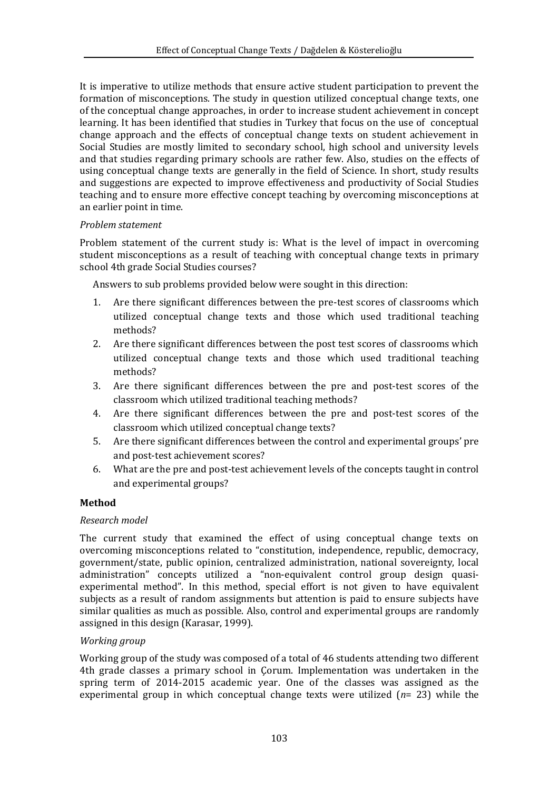It is imperative to utilize methods that ensure active student participation to prevent the formation of misconceptions. The study in question utilized conceptual change texts, one of the conceptual change approaches, in order to increase student achievement in concept learning. It has been identified that studies in Turkey that focus on the use of conceptual change approach and the effects of conceptual change texts on student achievement in Social Studies are mostly limited to secondary school, high school and university levels and that studies regarding primary schools are rather few. Also, studies on the effects of using conceptual change texts are generally in the field of Science. In short, study results and suggestions are expected to improve effectiveness and productivity of Social Studies teaching and to ensure more effective concept teaching by overcoming misconceptions at an earlier point in time.

# *Problem statement*

Problem statement of the current study is: What is the level of impact in overcoming student misconceptions as a result of teaching with conceptual change texts in primary school 4th grade Social Studies courses?

Answers to sub problems provided below were sought in this direction:

- 1. Are there significant differences between the pre-test scores of classrooms which utilized conceptual change texts and those which used traditional teaching methods?
- 2. Are there significant differences between the post test scores of classrooms which utilized conceptual change texts and those which used traditional teaching methods?
- 3. Are there significant differences between the pre and post-test scores of the classroom which utilized traditional teaching methods?
- 4. Are there significant differences between the pre and post-test scores of the classroom which utilized conceptual change texts?
- 5. Are there significant differences between the control and experimental groups' pre and post-test achievement scores?
- 6. What are the pre and post-test achievement levels of the concepts taught in control and experimental groups?

# **Method**

# *Research model*

The current study that examined the effect of using conceptual change texts on overcoming misconceptions related to "constitution, independence, republic, democracy, government/state, public opinion, centralized administration, national sovereignty, local administration" concepts utilized a "non-equivalent control group design quasiexperimental method". In this method, special effort is not given to have equivalent subjects as a result of random assignments but attention is paid to ensure subjects have similar qualities as much as possible. Also, control and experimental groups are randomly assigned in this design (Karasar, 1999).

#### *Working group*

Working group of the study was composed of a total of 46 students attending two different 4th grade classes a primary school in Çorum. Implementation was undertaken in the spring term of 2014-2015 academic year. One of the classes was assigned as the experimental group in which conceptual change texts were utilized (*n*= 23) while the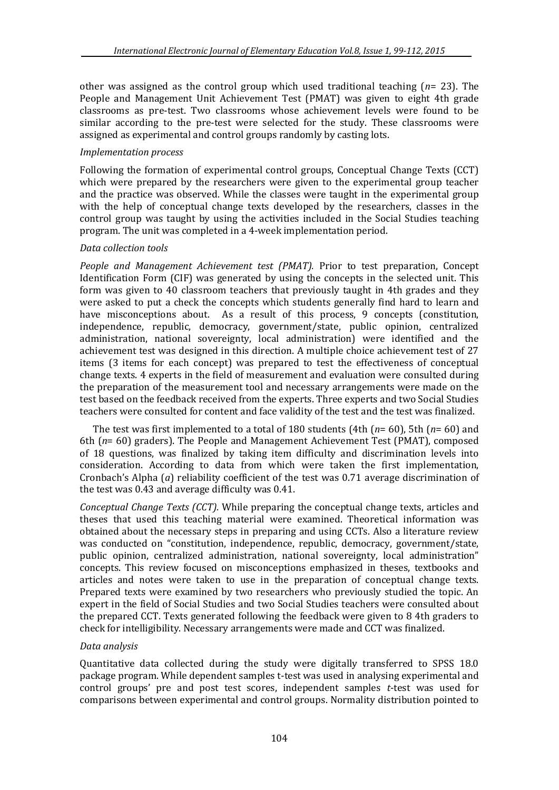other was assigned as the control group which used traditional teaching (*n*= 23). The People and Management Unit Achievement Test (PMAT) was given to eight 4th grade classrooms as pre-test. Two classrooms whose achievement levels were found to be similar according to the pre-test were selected for the study. These classrooms were assigned as experimental and control groups randomly by casting lots.

# *Implementation process*

Following the formation of experimental control groups, Conceptual Change Texts (CCT) which were prepared by the researchers were given to the experimental group teacher and the practice was observed. While the classes were taught in the experimental group with the help of conceptual change texts developed by the researchers, classes in the control group was taught by using the activities included in the Social Studies teaching program. The unit was completed in a 4-week implementation period.

# *Data collection tools*

*People and Management Achievement test (PMAT).* Prior to test preparation, Concept Identification Form (CIF) was generated by using the concepts in the selected unit. This form was given to 40 classroom teachers that previously taught in 4th grades and they were asked to put a check the concepts which students generally find hard to learn and have misconceptions about. As a result of this process, 9 concepts (constitution, independence, republic, democracy, government/state, public opinion, centralized administration, national sovereignty, local administration) were identified and the achievement test was designed in this direction. A multiple choice achievement test of 27 items (3 items for each concept) was prepared to test the effectiveness of conceptual change texts. 4 experts in the field of measurement and evaluation were consulted during the preparation of the measurement tool and necessary arrangements were made on the test based on the feedback received from the experts. Three experts and two Social Studies teachers were consulted for content and face validity of the test and the test was finalized.

The test was first implemented to a total of 180 students (4th (*n*= 60), 5th (*n*= 60) and 6th (*n*= 60) graders). The People and Management Achievement Test (PMAT), composed of 18 questions, was finalized by taking item difficulty and discrimination levels into consideration. According to data from which were taken the first implementation, Cronbach's Alpha (*a*) reliability coefficient of the test was 0.71 average discrimination of the test was 0.43 and average difficulty was 0.41.

*Conceptual Change Texts (CCT).* While preparing the conceptual change texts, articles and theses that used this teaching material were examined. Theoretical information was obtained about the necessary steps in preparing and using CCTs. Also a literature review was conducted on "constitution, independence, republic, democracy, government/state, public opinion, centralized administration, national sovereignty, local administration" concepts. This review focused on misconceptions emphasized in theses, textbooks and articles and notes were taken to use in the preparation of conceptual change texts. Prepared texts were examined by two researchers who previously studied the topic. An expert in the field of Social Studies and two Social Studies teachers were consulted about the prepared CCT. Texts generated following the feedback were given to 8 4th graders to check for intelligibility. Necessary arrangements were made and CCT was finalized.

# *Data analysis*

Quantitative data collected during the study were digitally transferred to SPSS 18.0 package program. While dependent samples t-test was used in analysing experimental and control groups' pre and post test scores, independent samples *t*-test was used for comparisons between experimental and control groups. Normality distribution pointed to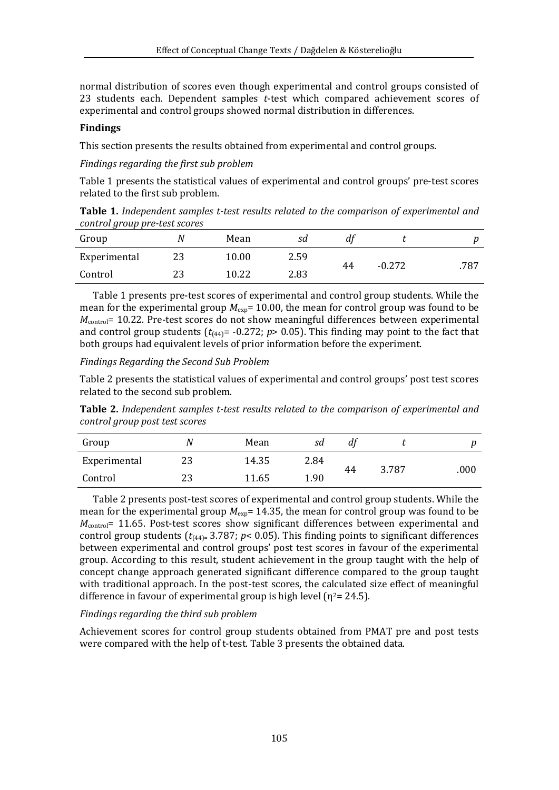normal distribution of scores even though experimental and control groups consisted of 23 students each. Dependent samples *t*-test which compared achievement scores of experimental and control groups showed normal distribution in differences.

#### **Findings**

This section presents the results obtained from experimental and control groups.

*Findings regarding the first sub problem* 

Table 1 presents the statistical values of experimental and control groups' pre-test scores related to the first sub problem.

**Table 1.** *Independent samples t-test results related to the comparison of experimental and control group pre-test scores*

| Group        |    | Mean  | sd   | aı |          |      |
|--------------|----|-------|------|----|----------|------|
| Experimental | 23 | 10.00 | 2.59 | 44 | $-0.272$ | .787 |
| Control      | 23 | 10.22 | 2.83 |    |          |      |

Table 1 presents pre-test scores of experimental and control group students. While the mean for the experimental group  $M_{\text{exp}}$  = 10.00, the mean for control group was found to be *M*<sub>control</sub>= 10.22. Pre-test scores do not show meaningful differences between experimental and control group students  $(t_{(44)} = -0.272; p > 0.05)$ . This finding may point to the fact that both groups had equivalent levels of prior information before the experiment.

*Findings Regarding the Second Sub Problem* 

Table 2 presents the statistical values of experimental and control groups' post test scores related to the second sub problem.

**Table 2.** *Independent samples t-test results related to the comparison of experimental and control group post test scores*

| Group        | Ν  | Mean  | sd   | aı |       |      |
|--------------|----|-------|------|----|-------|------|
| Experimental | 23 | 14.35 | 2.84 |    |       |      |
| Control      | 23 | 11.65 | 1.90 | 44 | 3.787 | .000 |

Table 2 presents post-test scores of experimental and control group students. While the mean for the experimental group  $M_{\text{exp}}$  = 14.35, the mean for control group was found to be *M*<sub>control</sub>= 11.65. Post-test scores show significant differences between experimental and control group students  $(t_{[44]=}3.787; p< 0.05)$ . This finding points to significant differences between experimental and control groups' post test scores in favour of the experimental group. According to this result, student achievement in the group taught with the help of concept change approach generated significant difference compared to the group taught with traditional approach. In the post-test scores, the calculated size effect of meaningful difference in favour of experimental group is high level ( $\eta^2$  = 24.5).

#### *Findings regarding the third sub problem*

Achievement scores for control group students obtained from PMAT pre and post tests were compared with the help of t-test. Table 3 presents the obtained data.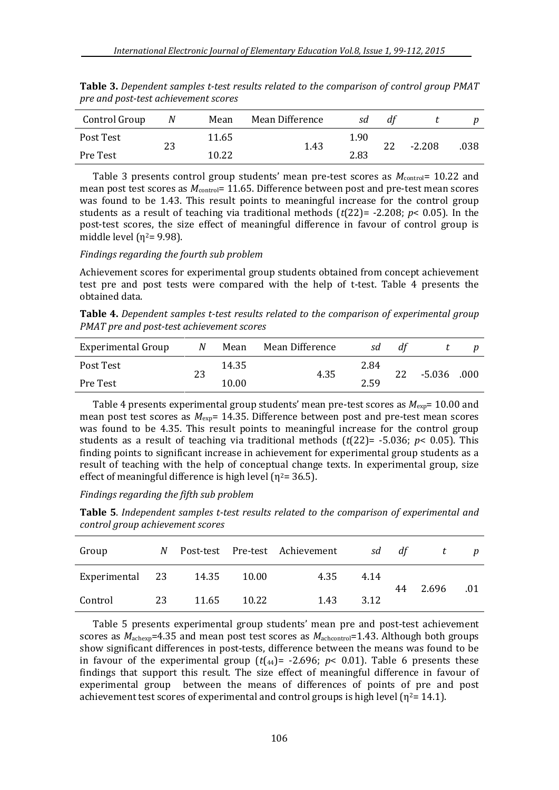| Control Group | N  | Mean  | Mean Difference | sd   |    |          | $\boldsymbol{p}$ |
|---------------|----|-------|-----------------|------|----|----------|------------------|
| Post Test     |    | 11.65 |                 | 1.90 | 22 |          |                  |
| Pre Test      | 23 | 10.22 | 1.43            | 2.83 |    | $-2.208$ | 038              |

**Table 3.** *Dependent samples t-test results related to the comparison of control group PMAT pre and post-test achievement scores*

Table 3 presents control group students' mean pre-test scores as  $M_{\text{control}}$  = 10.22 and mean post test scores as  $M_{\text{control}}$ = 11.65. Difference between post and pre-test mean scores was found to be 1.43. This result points to meaningful increase for the control group students as a result of teaching via traditional methods (*t*(22)= -2.208; *p*< 0.05). In the post-test scores, the size effect of meaningful difference in favour of control group is middle level  $(n^2=9.98)$ .

#### *Findings regarding the fourth sub problem*

Achievement scores for experimental group students obtained from concept achievement test pre and post tests were compared with the help of t-test. Table 4 presents the obtained data.

**Table 4.** *Dependent samples t-test results related to the comparison of experimental group PMAT pre and post-test achievement scores*

| Experimental Group | N  | Mean  | Mean Difference | sd   | df |        |      |
|--------------------|----|-------|-----------------|------|----|--------|------|
| Post Test          |    | 14.35 |                 | 2.84 | 22 |        |      |
| Pre Test           | 23 | 10.00 | 4.35            | 2.59 |    | -5.036 | .000 |

Table 4 presents experimental group students' mean pre-test scores as  $M_{\text{exp}}$ = 10.00 and mean post test scores as  $M_{\text{ex}}$ = 14.35. Difference between post and pre-test mean scores was found to be 4.35. This result points to meaningful increase for the control group students as a result of teaching via traditional methods (*t*(22)= -5.036; *p*< 0.05). This finding points to significant increase in achievement for experimental group students as a result of teaching with the help of conceptual change texts. In experimental group, size effect of meaningful difference is high level ( $\eta^2$ = 36.5).

*Findings regarding the fifth sub problem* 

**Table 5**. *Independent samples t-test results related to the comparison of experimental and control group achievement scores*

| Group           | N  |       |       | Post-test Pre-test Achievement | sd   | df | t     | $\boldsymbol{p}$ |
|-----------------|----|-------|-------|--------------------------------|------|----|-------|------------------|
| Experimental 23 |    | 14.35 | 10.00 | 4.35                           | 4.14 | 44 | 2.696 | .01              |
| Control         | 23 | 11.65 | 10.22 | 1.43                           | 3.12 |    |       |                  |

Table 5 presents experimental group students' mean pre and post-test achievement scores as  $M_{\text{achexp}}$ =4.35 and mean post test scores as  $M_{\text{achcontrol}}$ =1.43. Although both groups show significant differences in post-tests, difference between the means was found to be in favour of the experimental group  $(t_{44})$  = -2.696;  $p$  < 0.01). Table 6 presents these findings that support this result. The size effect of meaningful difference in favour of experimental group between the means of differences of points of pre and post achievement test scores of experimental and control groups is high level ( $\eta^2$ = 14.1).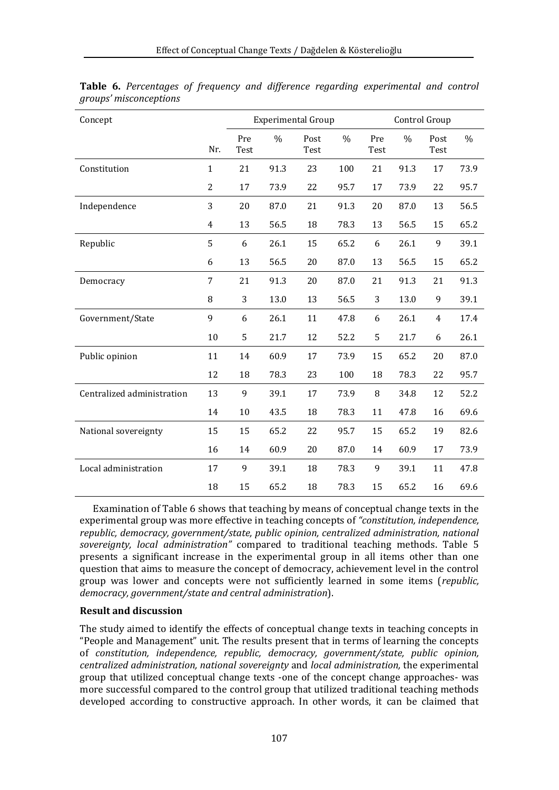| Concept                    |              |             |      | <b>Experimental Group</b> |               |             |               |              |               |
|----------------------------|--------------|-------------|------|---------------------------|---------------|-------------|---------------|--------------|---------------|
|                            | Nr.          | Pre<br>Test | $\%$ | Post<br>Test              | $\frac{0}{0}$ | Pre<br>Test | $\frac{0}{0}$ | Post<br>Test | $\frac{0}{0}$ |
| Constitution               | $\mathbf{1}$ | 21          | 91.3 | 23                        | 100           | 21          | 91.3          | 17           | 73.9          |
|                            | 2            | 17          | 73.9 | 22                        | 95.7          | 17          | 73.9          | 22           | 95.7          |
| Independence               | 3            | 20          | 87.0 | 21                        | 91.3          | 20          | 87.0          | 13           | 56.5          |
|                            | 4            | 13          | 56.5 | 18                        | 78.3          | 13          | 56.5          | 15           | 65.2          |
| Republic                   | 5            | 6           | 26.1 | 15                        | 65.2          | 6           | 26.1          | 9            | 39.1          |
|                            | 6            | 13          | 56.5 | 20                        | 87.0          | 13          | 56.5          | 15           | 65.2          |
| Democracy                  | 7            | 21          | 91.3 | 20                        | 87.0          | 21          | 91.3          | 21           | 91.3          |
|                            | 8            | 3           | 13.0 | 13                        | 56.5          | 3           | 13.0          | 9            | 39.1          |
| Government/State           | 9            | 6           | 26.1 | 11                        | 47.8          | 6           | 26.1          | 4            | 17.4          |
|                            | 10           | 5           | 21.7 | 12                        | 52.2          | 5           | 21.7          | 6            | 26.1          |
| Public opinion             | 11           | 14          | 60.9 | 17                        | 73.9          | 15          | 65.2          | 20           | 87.0          |
|                            | 12           | 18          | 78.3 | 23                        | 100           | 18          | 78.3          | 22           | 95.7          |
| Centralized administration | 13           | 9           | 39.1 | 17                        | 73.9          | 8           | 34.8          | 12           | 52.2          |
|                            | 14           | 10          | 43.5 | 18                        | 78.3          | 11          | 47.8          | 16           | 69.6          |
| National sovereignty       | 15           | 15          | 65.2 | 22                        | 95.7          | 15          | 65.2          | 19           | 82.6          |
|                            | 16           | 14          | 60.9 | 20                        | 87.0          | 14          | 60.9          | 17           | 73.9          |
| Local administration       | 17           | 9           | 39.1 | 18                        | 78.3          | 9           | 39.1          | 11           | 47.8          |
|                            | 18           | 15          | 65.2 | 18                        | 78.3          | 15          | 65.2          | 16           | 69.6          |

**Table 6.** *Percentages of frequency and difference regarding experimental and control groups' misconceptions*

Examination of Table 6 shows that teaching by means of conceptual change texts in the experimental group was more effective in teaching concepts of *"constitution, independence, republic, democracy, government/state, public opinion, centralized administration, national sovereignty, local administration"* compared to traditional teaching methods. Table 5 presents a significant increase in the experimental group in all items other than one question that aims to measure the concept of democracy, achievement level in the control group was lower and concepts were not sufficiently learned in some items (*republic, democracy, government/state and central administration*).

# **Result and discussion**

The study aimed to identify the effects of conceptual change texts in teaching concepts in "People and Management" unit. The results present that in terms of learning the concepts of *constitution, independence, republic, democracy, government/state, public opinion, centralized administration, national sovereignty* and *local administration,* the experimental group that utilized conceptual change texts -one of the concept change approaches- was more successful compared to the control group that utilized traditional teaching methods developed according to constructive approach. In other words, it can be claimed that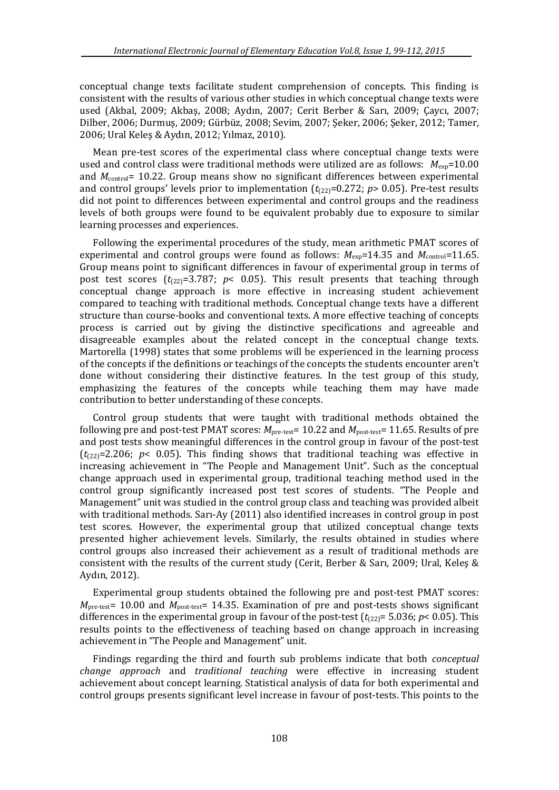conceptual change texts facilitate student comprehension of concepts. This finding is consistent with the results of various other studies in which conceptual change texts were used (Akbal, 2009; Akbaş, 2008; Aydın, 2007; Cerit Berber & Sarı, 2009; Çaycı, 2007; Dilber, 2006; Durmuş, 2009; Gürbüz, 2008; Sevim, 2007; Şeker, 2006; Şeker, 2012; Tamer, 2006; Ural Keleş & Aydın, 2012; Yılmaz, 2010).

Mean pre-test scores of the experimental class where conceptual change texts were used and control class were traditional methods were utilized are as follows:  $M_{\text{exp}}=10.00$ and *M*<sub>control</sub>= 10.22. Group means show no significant differences between experimental and control groups' levels prior to implementation  $(t_{22}=0.272; p>0.05)$ . Pre-test results did not point to differences between experimental and control groups and the readiness levels of both groups were found to be equivalent probably due to exposure to similar learning processes and experiences.

Following the experimental procedures of the study, mean arithmetic PMAT scores of experimental and control groups were found as follows:  $M_{\text{exp}}$ =14.35 and  $M_{\text{control}}$ =11.65. Group means point to significant differences in favour of experimental group in terms of post test scores  $(t_{22}=3.787; p< 0.05)$ . This result presents that teaching through conceptual change approach is more effective in increasing student achievement compared to teaching with traditional methods. Conceptual change texts have a different structure than course-books and conventional texts. A more effective teaching of concepts process is carried out by giving the distinctive specifications and agreeable and disagreeable examples about the related concept in the conceptual change texts. Martorella (1998) states that some problems will be experienced in the learning process of the concepts if the definitions or teachings of the concepts the students encounter aren't done without considering their distinctive features. In the test group of this study, emphasizing the features of the concepts while teaching them may have made contribution to better understanding of these concepts.

Control group students that were taught with traditional methods obtained the following pre and post-test PMAT scores: *M*pre-test= 10.22 and *M*post-test= 11.65. Results of pre and post tests show meaningful differences in the control group in favour of the post-test  $(t_{0.22}=2.206; p< 0.05)$ . This finding shows that traditional teaching was effective in increasing achievement in "The People and Management Unit". Such as the conceptual change approach used in experimental group, traditional teaching method used in the control group significantly increased post test scores of students. "The People and Management" unit was studied in the control group class and teaching was provided albeit with traditional methods. Sarı-Ay (2011) also identified increases in control group in post test scores. However, the experimental group that utilized conceptual change texts presented higher achievement levels. Similarly, the results obtained in studies where control groups also increased their achievement as a result of traditional methods are consistent with the results of the current study (Cerit, Berber & Sarı, 2009; Ural, Keleş & Aydın, 2012).

Experimental group students obtained the following pre and post-test PMAT scores: *M*pre-test= 10.00 and *M*post-test= 14.35. Examination of pre and post-tests shows significant differences in the experimental group in favour of the post-test  $(t_{122})$ = 5.036;  $p$ < 0.05). This results points to the effectiveness of teaching based on change approach in increasing achievement in "The People and Management" unit.

Findings regarding the third and fourth sub problems indicate that both *conceptual change approach* and *traditional teaching* were effective in increasing student achievement about concept learning. Statistical analysis of data for both experimental and control groups presents significant level increase in favour of post-tests. This points to the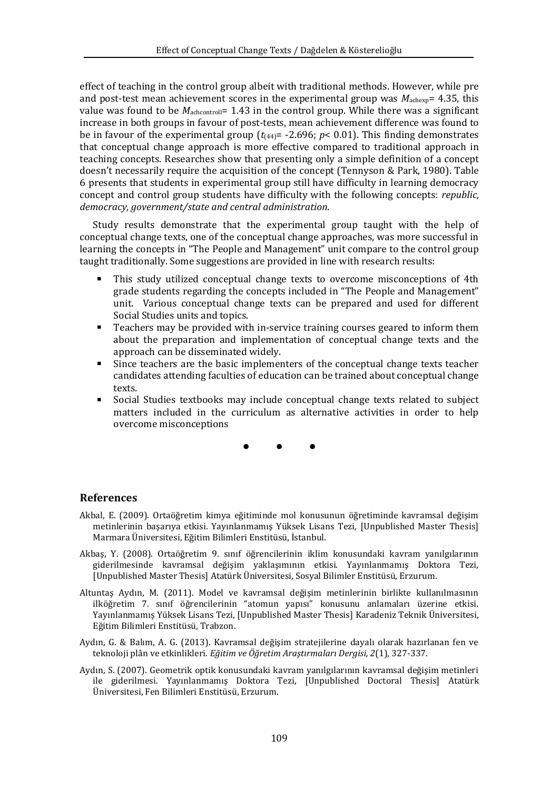effect of teaching in the control group albeit with traditional methods. However, while pre and post-test mean achievement scores in the experimental group was  $M_{\text{achex}}= 4.35$ , this value was found to be  $M_{\text{achcontroll}}$  = 1.43 in the control group. While there was a significant increase in both groups in favour of post-tests, mean achievement difference was found to be in favour of the experimental group  $(t_{(44)} = -2.696; p < 0.01)$ . This finding demonstrates that conceptual change approach is more effective compared to traditional approach in teaching concepts. Researches show that presenting only a simple definition of a concept doesn't necessarily require the acquisition of the concept (Tennyson & Park, 1980). Table 6 presents that students in experimental group still have difficulty in learning democracy concept and control group students have difficulty with the following concepts: *republic, democracy, government/state and central administration*.

Study results demonstrate that the experimental group taught with the help of conceptual change texts, one of the conceptual change approaches, was more successful in learning the concepts in "The People and Management" unit compare to the control group taught traditionally. Some suggestions are provided in line with research results:

- This study utilized conceptual change texts to overcome misconceptions of 4th grade students regarding the concepts included in "The People and Management" unit. Various conceptual change texts can be prepared and used for different Social Studies units and topics.
- **Teachers may be provided with in-service training courses geared to inform them** about the preparation and implementation of conceptual change texts and the approach can be disseminated widely.
- Since teachers are the basic implementers of the conceptual change texts teacher candidates attending faculties of education can be trained about conceptual change texts.
- Social Studies textbooks may include conceptual change texts related to subject matters included in the curriculum as alternative activities in order to help overcome misconceptions

• • •

# **References**

- Akbal, E. (2009). Ortaöğretim kimya eğitiminde mol konusunun öğretiminde kavramsal değişim metinlerinin başarıya etkisi. Yayınlanmamış Yüksek Lisans Tezi, [Unpublished Master Thesis] Marmara Üniversitesi, Eğitim Bilimleri Enstitüsü, İstanbul.
- Akbaş, Y. (2008). Ortaöğretim 9. sınıf öğrencilerinin iklim konusundaki kavram yanılgılarının giderilmesinde kavramsal değişim yaklaşımının etkisi. Yayınlanmamış Doktora Tezi, [Unpublished Master Thesis] Atatürk Üniversitesi, Sosyal Bilimler Enstitüsü, Erzurum.
- Altuntaş Aydın, M. (2011). Model ve kavramsal değişim metinlerinin birlikte kullanılmasının ilköğretim 7. sınıf öğrencilerinin "atomun yapısı" konusunu anlamaları üzerine etkisi. Yayınlanmamış Yüksek Lisans Tezi, [Unpublished Master Thesis] Karadeniz Teknik Üniversitesi, Eğitim Bilimleri Enstitüsü, Trabzon.
- Aydın, G. & Balım, A. G. (2013). Kavramsal değişim stratejilerine dayalı olarak hazırlanan fen ve teknoloji plân ve etkinlikleri. *Eğitim ve Öğretim Araştırmaları Dergisi, 2*(1), 327-337.
- Aydın, S. (2007). Geometrik optik konusundaki kavram yanılgılarının kavramsal değişim metinleri ile giderilmesi. Yayınlanmamış Doktora Tezi, [Unpublished Doctoral Thesis] Atatürk Üniversitesi, Fen Bilimleri Enstitüsü, Erzurum.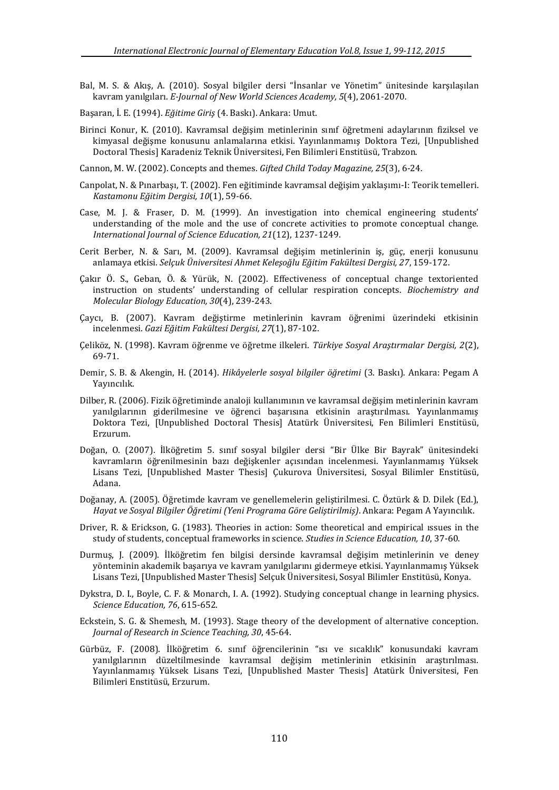- Bal, M. S. & Akış, A. (2010). Sosyal bilgiler dersi "İnsanlar ve Yönetim" ünitesinde karşılaşılan kavram yanılgıları. *E-Journal of New World Sciences Academy, 5*(4), 2061-2070.
- Başaran, İ. E. (1994). *Eğitime Giriş* (4. Baskı). Ankara: Umut.
- Birinci Konur, K. (2010). Kavramsal değişim metinlerinin sınıf öğretmeni adaylarının fiziksel ve kimyasal değişme konusunu anlamalarına etkisi. Yayınlanmamış Doktora Tezi, [Unpublished Doctoral Thesis] Karadeniz Teknik Üniversitesi, Fen Bilimleri Enstitüsü, Trabzon.

Cannon, M. W. (2002). Concepts and themes. *Gifted Child Today Magazine, 25*(3), 6-24.

- Canpolat, N. & Pınarbaşı, T. (2002). Fen eğitiminde kavramsal değişim yaklaşımı-I: Teorik temelleri. *Kastamonu Eğitim Dergisi, 10*(1), 59-66.
- Case, M. J. & Fraser, D. M. (1999). An investigation into chemical engineering students' understanding of the mole and the use of concrete activities to promote conceptual change. *International Journal of Science Education, 21*(12), 1237-1249.
- Cerit Berber, N. & Sarı, M. (2009). Kavramsal değişim metinlerinin iş, güç, enerji konusunu anlamaya etkisi. *Selçuk Üniversitesi Ahmet Keleşoğlu Eğitim Fakültesi Dergisi, 27*, 159-172.
- Çakır Ö. S., Geban, Ö. & Yürük, N. (2002). Effectiveness of conceptual change textoriented instruction on students' understanding of cellular respiration concepts. *Biochemistry and Molecular Biology Education, 30*(4), 239-243.
- Çaycı, B. (2007). Kavram değiştirme metinlerinin kavram öğrenimi üzerindeki etkisinin incelenmesi. *Gazi Eğitim Fakültesi Dergisi, 27*(1), 87-102.
- Çeliköz, N. (1998). Kavram öğrenme ve öğretme ilkeleri. *Türkiye Sosyal Araştırmalar Dergisi, 2*(2), 69-71.
- Demir, S. B. & Akengin, H. (2014). *Hikâyelerle sosyal bilgiler öğretimi* (3. Baskı). Ankara: Pegam A Yayıncılık.
- Dilber, R. (2006). Fizik öğretiminde analoji kullanımının ve kavramsal değişim metinlerinin kavram yanılgılarının giderilmesine ve öğrenci başarısına etkisinin araştırılması. Yayınlanmamış Doktora Tezi, [Unpublished Doctoral Thesis] Atatürk Üniversitesi, Fen Bilimleri Enstitüsü, Erzurum.
- Doğan, O. (2007). İlköğretim 5. sınıf sosyal bilgiler dersi "Bir Ülke Bir Bayrak" ünitesindeki kavramların öğrenilmesinin bazı değişkenler açısından incelenmesi. Yayınlanmamış Yüksek Lisans Tezi, [Unpublished Master Thesis] Çukurova Üniversitesi, Sosyal Bilimler Enstitüsü, Adana.
- Doğanay, A. (2005). Öğretimde kavram ve genellemelerin geliştirilmesi. C. Öztürk & D. Dilek (Ed.), *Hayat ve Sosyal Bilgiler Öğretimi (Yeni Programa Göre Geliştirilmiş)*. Ankara: Pegam A Yayıncılık.
- Driver, R. & Erickson, G. (1983). Theories in action: Some theoretical and empirical ıssues in the study of students, conceptual frameworks in science. *Studies in Science Education, 10*, 37-60.
- Durmuş, J. (2009). İlköğretim fen bilgisi dersinde kavramsal değişim metinlerinin ve deney yönteminin akademik başarıya ve kavram yanılgılarını gidermeye etkisi. Yayınlanmamış Yüksek Lisans Tezi, [Unpublished Master Thesis] Selçuk Üniversitesi, Sosyal Bilimler Enstitüsü, Konya.
- Dykstra, D. I., Boyle, C. F. & Monarch, I. A. (1992). Studying conceptual change in learning physics. *Science Education, 76*, 615-652.
- Eckstein, S. G. & Shemesh, M. (1993). Stage theory of the development of alternative conception. *Journal of Research in Science Teaching, 30*, 45-64.
- Gürbüz, F. (2008). İlköğretim 6. sınıf öğrencilerinin "ısı ve sıcaklık" konusundaki kavram yanılgılarının düzeltilmesinde kavramsal değişim metinlerinin etkisinin araştırılması. Yayınlanmamış Yüksek Lisans Tezi, [Unpublished Master Thesis] Atatürk Üniversitesi, Fen Bilimleri Enstitüsü, Erzurum.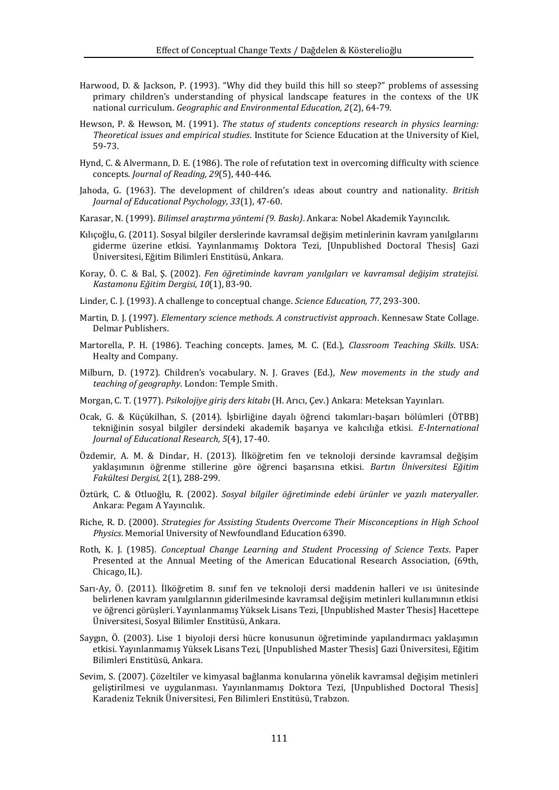- Harwood, D. & Jackson, P. (1993). "Why did they build this hill so steep?" problems of assessing primary children's understanding of physical landscape features in the contexs of the UK national curriculum. *Geographic and Environmental Education, 2*(2), 64-79.
- Hewson, P. & Hewson, M. (1991). *The status of students conceptions research in physics learning: Theoretical issues and empirical studies*. Institute for Science Education at the University of Kiel, 59-73.
- Hynd, C. & Alvermann, D. E. (1986). The role of refutation text in overcoming difficulty with science concepts. *Journal of Reading, 29*(5), 440-446.
- Jahoda, G. (1963). The development of children's ıdeas about country and nationality. *British Journal of Educational Psychology, 33*(1), 47-60.
- Karasar, N. (1999). *Bilimsel araştırma yöntemi (9. Baskı)*. Ankara: Nobel Akademik Yayıncılık.
- Kılıçoğlu, G. (2011). Sosyal bilgiler derslerinde kavramsal değişim metinlerinin kavram yanılgılarını giderme üzerine etkisi. Yayınlanmamış Doktora Tezi, [Unpublished Doctoral Thesis] Gazi Üniversitesi, Eğitim Bilimleri Enstitüsü, Ankara.
- Koray, Ö. C. & Bal, Ş. (2002). *Fen öğretiminde kavram yanılgıları ve kavramsal değişim stratejisi. Kastamonu Eğitim Dergisi, 10*(1), 83-90.
- Linder, C. J. (1993). A challenge to conceptual change. *Science Education, 77*, 293-300.
- Martin, D. J. (1997). *Elementary science methods. A constructivist approach*. Kennesaw State Collage. Delmar Publishers.
- Martorella, P. H. (1986). Teaching concepts. James, M. C. (Ed.), *Classroom Teaching Skills*. USA: Healty and Company.
- Milburn, D. (1972). Children's vocabulary. N. J. Graves (Ed.), *New movements in the study and teaching of geography*. London: Temple Smith.
- Morgan, C. T. (1977). *Psikolojiye giriş ders kitabı* (H. Arıcı, Çev.) Ankara: Meteksan Yayınları.
- Ocak, G. & Küçükilhan, S. (2014). İşbirliğine dayalı öğrenci takımları-başarı bölümleri (ÖTBB) tekniğinin sosyal bilgiler dersindeki akademik başarıya ve kalıcılığa etkisi. *E-International Journal of Educational Research, 5*(4), 17-40.
- Özdemir, A. M. & Dindar, H. (2013). İlköğretim fen ve teknoloji dersinde kavramsal değişim yaklaşımının öğrenme stillerine göre öğrenci başarısına etkisi. *Bartın Üniversitesi Eğitim Fakültesi Dergisi,* 2(1), 288-299.
- Öztürk, C. & Otluoğlu, R. (2002). *Sosyal bilgiler öğretiminde edebi ürünler ve yazılı materyaller.* Ankara: Pegam A Yayıncılık.
- Riche, R. D. (2000). *Strategies for Assisting Students Overcome Their Misconceptions in High School Physics*. Memorial University of Newfoundland Education 6390.
- Roth, K. J. (1985). *Conceptual Change Learning and Student Processing of Science Texts*. Paper Presented at the Annual Meeting of the American Educational Research Association, (69th, Chicago, IL).
- Sarı-Ay, Ö. (2011). İlköğretim 8. sınıf fen ve teknoloji dersi maddenin halleri ve ısı ünitesinde belirlenen kavram yanılgılarının giderilmesinde kavramsal değişim metinleri kullanımının etkisi ve öğrenci görüşleri. Yayınlanmamış Yüksek Lisans Tezi, [Unpublished Master Thesis] Hacettepe Üniversitesi, Sosyal Bilimler Enstitüsü, Ankara.
- Saygın, Ö. (2003). Lise 1 biyoloji dersi hücre konusunun öğretiminde yapılandırmacı yaklaşımın etkisi. Yayınlanmamış Yüksek Lisans Tezi, [Unpublished Master Thesis] Gazi Üniversitesi, Eğitim Bilimleri Enstitüsü, Ankara.
- Sevim, S. (2007). Çözeltiler ve kimyasal bağlanma konularına yönelik kavramsal değişim metinleri geliştirilmesi ve uygulanması. Yayınlanmamış Doktora Tezi, [Unpublished Doctoral Thesis] Karadeniz Teknik Üniversitesi, Fen Bilimleri Enstitüsü, Trabzon.